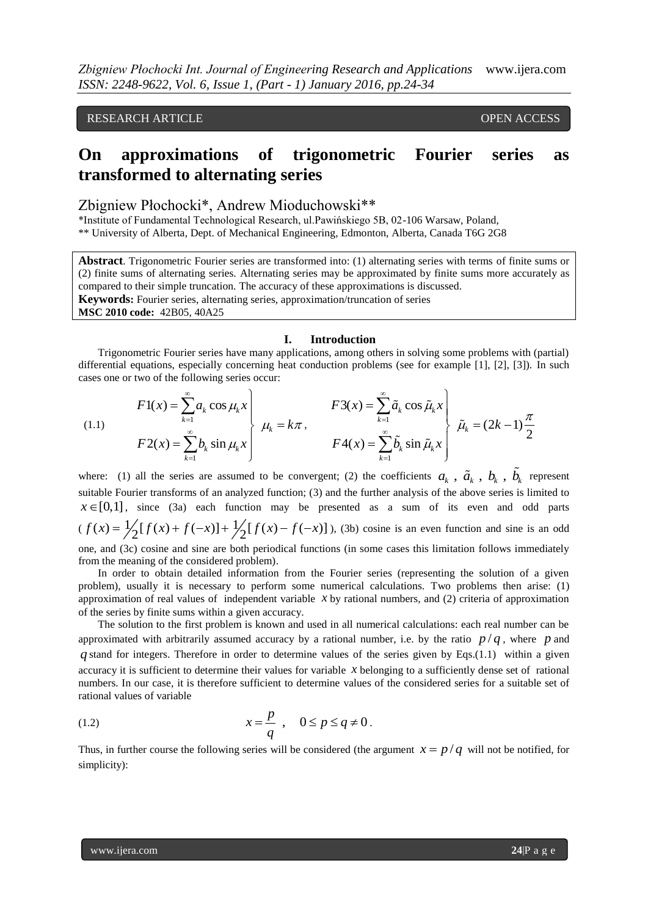RESEARCH ARTICLE **CONSERVERS** OPEN ACCESS

# **On approximations of trigonometric Fourier series as transformed to alternating series**

### Zbigniew Płochocki\*, Andrew Mioduchowski\*\*

\*Institute of Fundamental Technological Research, ul.Pawińskiego 5B, 02-106 Warsaw, Poland, \*\* University of Alberta, Dept. of Mechanical Engineering, Edmonton, Alberta, Canada T6G 2G8

**Abstract**. Trigonometric Fourier series are transformed into: (1) alternating series with terms of finite sums or (2) finite sums of alternating series. Alternating series may be approximated by finite sums more accurately as compared to their simple truncation. The accuracy of these approximations is discussed. **Keywords:** Fourier series, alternating series, approximation/truncation of series **MSC 2010 code:** 42B05, 40A25

#### **I. Introduction**

Trigonometric Fourier series have many applications, among others in solving some problems with (partial) differential equations, especially concerning heat conduction problems (see for example [1], [2], [3]). In such cases one or two of the following series occur:

(1.1)  
\n
$$
F1(x) = \sum_{k=1}^{\infty} a_k \cos \mu_k x \qquad F3(x) = \sum_{k=1}^{\infty} \tilde{a}_k \cos \tilde{\mu}_k x \qquad \text{(1.1)}
$$
\n
$$
F2(x) = \sum_{k=1}^{\infty} b_k \sin \mu_k x \qquad F4(x) = \sum_{k=1}^{\infty} \tilde{b}_k \sin \tilde{\mu}_k x \qquad \text{(2k-1)} \frac{\pi}{2}
$$

where: (1) all the series are assumed to be convergent; (2) the coefficients  $a_k$ ,  $\tilde{a}_k$ ,  $b_k$ ,  $\tilde{b}_k$  represent suitable Fourier transforms of an analyzed function; (3) and the further analysis of the above series is limited to  $x \in [0,1]$ , since (3a) each function may be presented as a sum of its even and odd parts  $x \in [0,1]$ , since (3a) each function may be presen<br>  $(f(x) = \frac{1}{2}[f(x) + f(-x)] + \frac{1}{2}[f(x) - f(-x)]$ ), (2) ), (3b) cosine is an even function and sine is an odd one, and (3c) cosine and sine are both periodical functions (in some cases this limitation follows immediately from the meaning of the considered problem).

In order to obtain detailed information from the Fourier series (representing the solution of a given problem), usually it is necessary to perform some numerical calculations. Two problems then arise: (1) approximation of real values of independent variable  $x$  by rational numbers, and (2) criteria of approximation of the series by finite sums within a given accuracy.

The solution to the first problem is known and used in all numerical calculations: each real number can be approximated with arbitrarily assumed accuracy by a rational number, i.e. by the ratio  $p/q$ , where p and *q* stand for integers. Therefore in order to determine values of the series given by Eqs.(1.1) within a given accuracy it is sufficient to determine their values for variable  $x$  belonging to a sufficiently dense set of rational numbers. In our case, it is therefore sufficient to determine values of the considered series for a suitable set of rational values of variable

$$
(1.2) \t\t x = \frac{p}{q} , \quad 0 \le p \le q \ne 0.
$$

Thus, in further course the following series will be considered (the argument  $x = p/q$  will not be notified, for simplicity):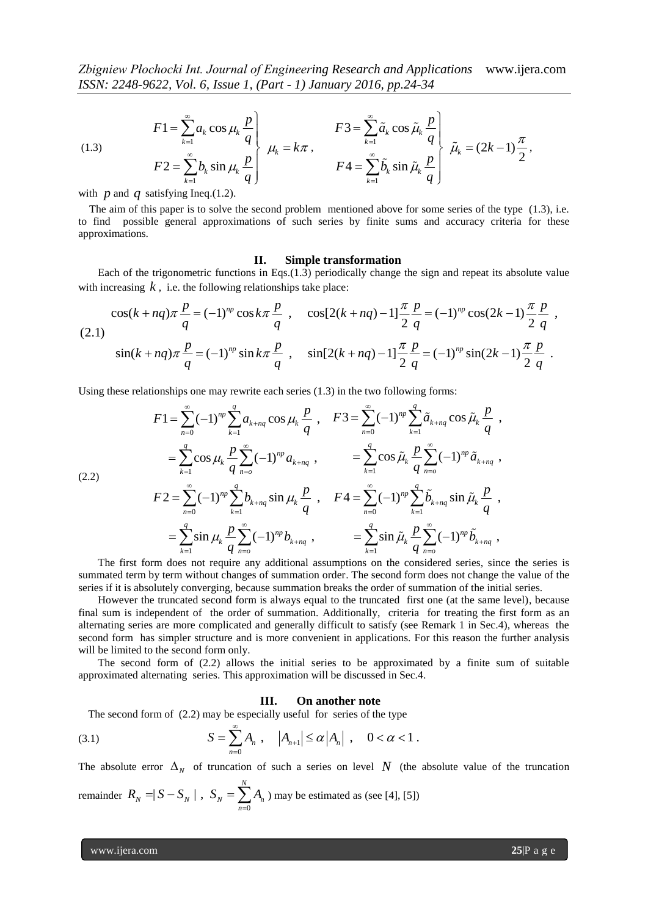(1.3) 
$$
F1 = \sum_{k=1}^{\infty} a_k \cos \mu_k \frac{p}{q} \qquad F3 = \sum_{k=1}^{\infty} \tilde{a}_k \cos \tilde{\mu}_k \frac{p}{q} \qquad \tilde{\mu}_k = (2k-1)\frac{\pi}{2},
$$

$$
F2 = \sum_{k=1}^{\infty} b_k \sin \mu_k \frac{p}{q} \qquad F4 = \sum_{k=1}^{\infty} \tilde{b}_k \sin \tilde{\mu}_k \frac{p}{q} \qquad \tilde{\mu}_k = (2k-1)\frac{\pi}{2},
$$

with  $p$  and  $q$  satisfying Ineq.(1.2).

 The aim of this paper is to solve the second problem mentioned above for some series of the type (1.3), i.e. to find possible general approximations of such series by finite sums and accuracy criteria for these approximations.

#### **II. Simple transformation**

Each of the trigonometric functions in Eqs.(1.3) periodically change the sign and repeat its absolute value with increasing *k*, i.e. the following relationships take place:<br>  $\cos(k + nq)\pi \frac{p}{n} = (-1)^{np} \cos k\pi \frac{p}{n}$ ,  $\cos[2(k + nq) - 1] \frac{\pi}{n} \frac{p}{n} = (-1)^{np}$ 

**11.** Simple transformation  
Each of the trigonometric functions in Eqs.(1.3) periodically change the sign and repeat its absolute value  
with increasing k, i.e. the following relationships take place:  

$$
\cos(k + nq)\pi \frac{p}{q} = (-1)^{np} \cos k\pi \frac{p}{q}, \quad \cos[2(k + nq) - 1] \frac{\pi}{2} \frac{p}{q} = (-1)^{np} \cos(2k - 1) \frac{\pi}{2} \frac{p}{q},
$$
  
(2.1)  

$$
\sin(k + nq)\pi \frac{p}{q} = (-1)^{np} \sin k\pi \frac{p}{q}, \quad \sin[2(k + nq) - 1] \frac{\pi}{2} \frac{p}{q} = (-1)^{np} \sin(2k - 1) \frac{\pi}{2} \frac{p}{q}.
$$

Using these relationships one may rewrite each series (1.3) in the two following forms:

$$
\sin(k + nq)\pi = (-1)^n \sin k\pi
$$
\n
$$
\frac{1}{q} \sin k\pi
$$
\n
$$
\frac{1}{q} \sin k\pi
$$
\n
$$
\frac{1}{q} \sin k\pi
$$
\n
$$
\frac{1}{q} \sin k\pi
$$
\n
$$
\frac{1}{q} \sin k\pi
$$
\n
$$
\frac{1}{q} \sin k\pi
$$
\n
$$
\frac{1}{q} \sin k\pi
$$
\n
$$
\frac{1}{q} \sin k\pi
$$
\n
$$
\frac{1}{q} \sin k\pi
$$
\n
$$
\frac{1}{q} \sin k\pi
$$
\n
$$
\frac{1}{q} \sin k\pi
$$
\n
$$
\frac{1}{q} \sin k\pi
$$
\n
$$
\frac{1}{q} \sin k\pi
$$
\n
$$
\frac{1}{q} \sin k\pi
$$
\n
$$
\frac{1}{q} \sin k\pi
$$
\n
$$
\frac{1}{q} \sin k\pi
$$
\n
$$
\frac{1}{q} \sin k\pi
$$
\n
$$
\frac{1}{q} \sin k\pi
$$
\n
$$
\frac{1}{q} \sin k\pi
$$
\n
$$
\frac{1}{q} \sin k\pi
$$
\n
$$
\frac{1}{q} \sin k\pi
$$
\n
$$
\frac{1}{q} \cos k\pi
$$
\n
$$
\frac{1}{q} \sin k\pi
$$
\n
$$
\frac{1}{q} \sin k\pi
$$
\n
$$
\frac{1}{q} \sin k\pi
$$
\n
$$
\frac{1}{q} \sin k\pi
$$
\n
$$
\frac{1}{q} \sin k\pi
$$
\n
$$
\frac{1}{q} \sin k\pi
$$
\n
$$
\frac{1}{q} \sin k\pi
$$
\n
$$
\frac{1}{q} \sin k\pi
$$
\n
$$
\frac{1}{q} \sin k\pi
$$
\n
$$
\frac{1}{q} \sin k\pi
$$
\n
$$
\frac{1}{q} \sin k\pi
$$
\n
$$
\frac{1}{q} \sin k\pi
$$
\n
$$
\frac{1}{q} \sin k\pi
$$
\n $$ 

summated term by term without changes of summation order. The second form does not change the value of the series if it is absolutely converging, because summation breaks the order of summation of the initial series.

However the truncated second form is always equal to the truncated first one (at the same level), because final sum is independent of the order of summation. Additionally, criteria for treating the first form as an alternating series are more complicated and generally difficult to satisfy (see Remark 1 in Sec.4), whereas the second form has simpler structure and is more convenient in applications. For this reason the further analysis will be limited to the second form only.

The second form of (2.2) allows the initial series to be approximated by a finite sum of suitable approximated alternating series. This approximation will be discussed in Sec.4.

#### **III. On another note**

The second form of (2.2) may be especially useful for series of the type  
(3.1) 
$$
S = \sum_{n=0}^{\infty} A_n, \quad |A_{n+1}| \le \alpha |A_n|, \quad 0 < \alpha < 1.
$$

The absolute error  $\Delta_N$  of truncation of such a series on level N (the absolute value of the truncation *N*

remainder 
$$
R_N = |S - S_N|
$$
,  $S_N = \sum_{n=0}^{N} A_n$ ) may be estimated as (see [4], [5])

www.ijera.com **25**|P a g e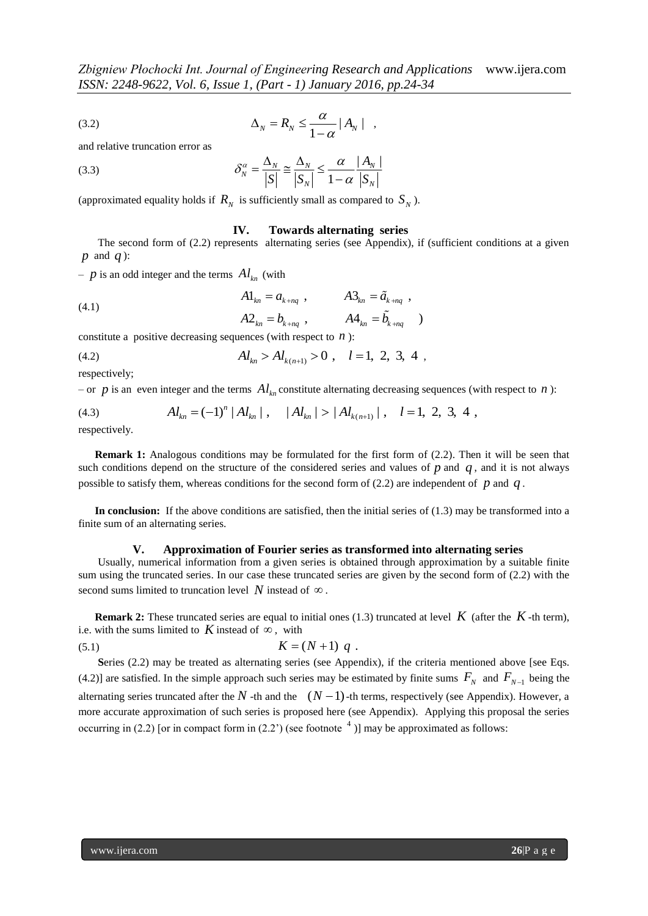$$
\Delta_N = R_N \le \frac{\alpha}{1 - \alpha} |A_N| \quad ,
$$

and relative truncation error as

(3.3)

\n
$$
\delta_N^{\alpha} = \frac{\Delta_N}{|S|} \cong \frac{\Delta_N}{|S_N|} \leq \frac{\alpha}{1 - \alpha} \frac{|A_N|}{|S_N|}
$$

(approximated equality holds if  $R_N$  is sufficiently small as compared to  $S_N$ ).

#### **IV. Towards alternating series**

The second form of (2.2) represents alternating series (see Appendix), if (sufficient conditions at a given *p* and *q* ):

 $- p$  is an odd integer and the terms  $Al_{kn}$  (with

(4.1)  
\n
$$
A1_{kn} = a_{k+nq} , \qquad A3_{kn} = \tilde{a}_{k+nq} ,
$$
\n
$$
A2_{kn} = b_{k+nq} , \qquad A3_{kn} = \tilde{b}_{k+nq} ,
$$

constitute a positive decreasing sequences (with respect to *n* ):  
\n(4.2) 
$$
Al_{kn} > Al_{k(n+1)} > 0, \quad l = 1, 2, 3, 4
$$

respectively;

 $-$  or  $p$  is an even integer and the terms  $Al_{kn}$  constitute alternating decreasing sequences (with respect to  $n$ ):

respectively;  
\n- or *p* is an even integer and the terms 
$$
Al_{kn}
$$
 constitute alternating decreasing sequences (v  
\n(4.3)  $Al_{kn} = (-1)^n |Al_{kn}|$ ,  $|Al_{kn}| > |Al_{k(n+1)}|$ ,  $l = 1, 2, 3, 4$ ,

respectively.

**Remark 1:** Analogous conditions may be formulated for the first form of (2.2). Then it will be seen that such conditions depend on the structure of the considered series and values of  $p$  and  $q$ , and it is not always possible to satisfy them, whereas conditions for the second form of  $(2.2)$  are independent of  $p$  and  $q$ .

In conclusion: If the above conditions are satisfied, then the initial series of (1.3) may be transformed into a finite sum of an alternating series.

#### **V. Approximation of Fourier series as transformed into alternating series**

Usually, numerical information from a given series is obtained through approximation by a suitable finite sum using the truncated series. In our case these truncated series are given by the second form of (2.2) with the second sums limited to truncation level  $N$  instead of  $\infty$ .

**Remark 2:** These truncated series are equal to initial ones (1.3) truncated at level  $K$  (after the  $K$ -th term), i.e. with the sums limited to K instead of  $\infty$ , with

(5.1) 
$$
K = (N+1) q .
$$

Series (2.2) may be treated as alternating series (see Appendix), if the criteria mentioned above [see Eqs. (4.2)] are satisfied. In the simple approach such series may be estimated by finite sums  $F_N$  and  $F_{N-1}$  being the alternating series truncated after the  $N$  -th and the  $(N-1)$ -th terms, respectively (see Appendix). However, a more accurate approximation of such series is proposed here (see Appendix). Applying this proposal the series occurring in (2.2) [or in compact form in (2.2') (see footnote  $\binom{4}{1}$  may be approximated as follows: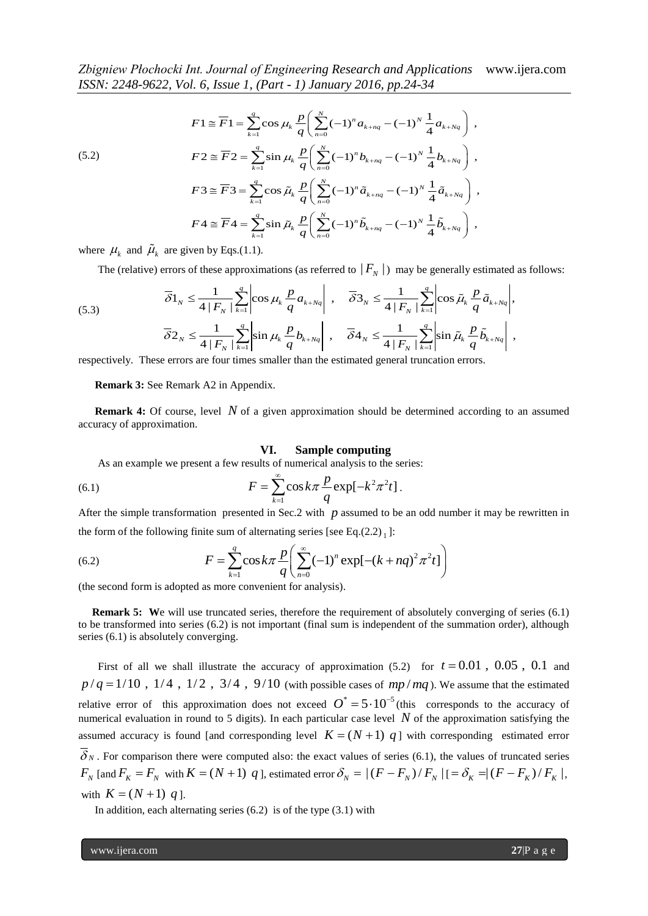*zbignew P10CnoCK1 Int. Journal of Engineering Research and Applications*

\n*ISSN:* 2248-9622, Vol. 6, *Issue* 1, (*Part - 1*) *January* 2016, *pp.24-34*

\n
$$
F1 \cong \overline{F}1 = \sum_{k=1}^{q} \cos \mu_k \frac{p}{q} \left( \sum_{n=0}^{N} (-1)^n a_{k+nq} - (-1)^N \frac{1}{4} a_{k+Nq} \right),
$$
\n(5.2)

\n
$$
F2 \cong \overline{F}2 = \sum_{k=1}^{q} \sin \mu_k \frac{p}{q} \left( \sum_{n=0}^{N} (-1)^n b_{k+nq} - (-1)^N \frac{1}{4} b_{k+Nq} \right),
$$
\n
$$
F3 \cong \overline{F}3 = \sum_{k=1}^{q} \cos \tilde{\mu}_k \frac{p}{q} \left( \sum_{n=0}^{N} (-1)^n \tilde{a}_{k+nq} - (-1)^N \frac{1}{4} \tilde{a}_{k+Nq} \right),
$$
\n
$$
F4 \cong \overline{F}4 = \sum_{k=1}^{q} \sin \tilde{\mu}_k \frac{p}{q} \left( \sum_{n=0}^{N} (-1)^n \tilde{b}_{k+nq} - (-1)^N \frac{1}{4} \tilde{b}_{k+Nq} \right),
$$

where  $\mu_k$  and  $\tilde{\mu}_k$  are given by Eqs.(1.1).

The (relative) errors of these approximations (as referred to  $|F_N|$ ) may be generally estimated as follows:

where 
$$
\mu_k
$$
 and  $\tilde{\mu}_k$  are given by Eqs.(1.1).  
\nThe (relative) errors of these approximations (as referred to  $|F_N|$ ) may be generally estimated as full  
\n(5.3)  
\n
$$
\overline{\delta}1_N \le \frac{1}{4|F_N|} \sum_{k=1}^q \left| \cos \mu_k \frac{p}{q} a_{k+Nq} \right|, \quad \overline{\delta}3_N \le \frac{1}{4|F_N|} \sum_{k=1}^q \left| \cos \tilde{\mu}_k \frac{p}{q} \tilde{a}_{k+Nq} \right|,
$$
\n(5.3)  
\n
$$
\overline{\delta}2_N \le \frac{1}{4|F_N|} \sum_{k=1}^q \left| \sin \mu_k \frac{p}{q} b_{k+Nq} \right|, \quad \overline{\delta}4_N \le \frac{1}{4|F_N|} \sum_{k=1}^q \left| \sin \tilde{\mu}_k \frac{p}{q} \tilde{b}_{k+Nq} \right|,
$$
\n
$$
\sum_{k=1}^q \left| \sin \tilde{\mu}_k \frac{p}{q} \tilde{b}_{k+Nq} \right|,
$$

respectively. These errors are four times smaller than the estimated general truncation errors.

 **Remark 3:** See Remark A2 in Appendix.

**Remark 4:** Of course, level N of a given approximation should be determined according to an assumed accuracy of approximation.

#### **VI. Sample computing**

As an example we present a few results of numerical analysis to the series:

(6.1) 
$$
F = \sum_{k=1}^{\infty} \cos k\pi \frac{p}{q} \exp[-k^2 \pi^2 t].
$$

After the simple transformation presented in Sec.2 with  $p$  assumed to be an odd number it may be rewritten in

First the simple transformation presented in Sec.2 with 
$$
p
$$
 assumed to be an odd number in the form of the following finite sum of alternating series [see Eq.(2.2)<sub>1</sub>]:

\n(6.2)

\n
$$
F = \sum_{k=1}^{q} \cos k\pi \frac{p}{q} \left( \sum_{n=0}^{\infty} (-1)^n \exp[-(k+nq)^2 \pi^2 t] \right)
$$

(the second form is adopted as more convenient for analysis).

**Remark 5:** We will use truncated series, therefore the requirement of absolutely converging of series (6.1) to be transformed into series (6.2) is not important (final sum is independent of the summation order), although series (6.1) is absolutely converging.

First of all we shall illustrate the accuracy of approximation  $(5.2)$  for  $t = 0.01$ ,  $0.05$ ,  $0.1$  and First of all we shall illustrate the accuracy of approximation (5.2) for  $t = 0.01$ ,  $0.05$ ,  $0.1$  and  $p/q = 1/10$ ,  $1/4$ ,  $1/2$ ,  $3/4$ ,  $9/10$  (with possible cases of  $mp/mq$ ). We assume that the estimated relative error of this approximation does not exceed  $O^* = 5 \cdot 10^{-5}$  (this corresponds to the accuracy of numerical evaluation in round to 5 digits). In each particular case level  $N$  of the approximation satisfying the assumed accuracy is found [and corresponding level  $K = (N + 1)$  q] with corresponding estimated error  $\delta_N$ . For comparison there were computed also: the exact values of series (6.1), the values of truncated series  $F_N$  [and  $F_K = F_N$  with  $K = (N+1)$  *q*], estimated error  $\delta_N = |(F - F_N)/F_N|$   $| = \delta_K = |(F - F_K)/F_K|$ , with  $K = (N + 1) q$ .

In addition, each alternating series  $(6.2)$  is of the type  $(3.1)$  with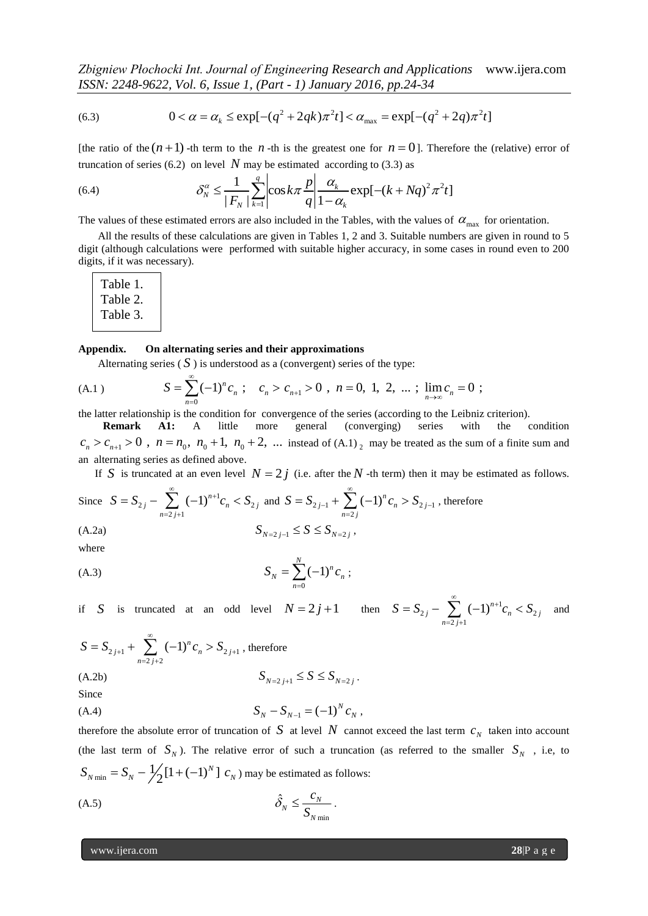*Zbigniew Płochocki Int. Journal of Engineering Research and Applications* www.ijera.com

$$
\text{ISSN: } 2248 \text{-} 9622, \text{ Vol. 6, } \text{Issue 1, (Part - 1) January 2016, pp.24-34}
$$
\n
$$
(6.3) \qquad 0 < \alpha = \alpha_k \le \exp[-(q^2 + 2qk)\pi^2 t] < \alpha_{\text{max}} = \exp[-(q^2 + 2q)\pi^2 t]
$$

[the ratio of the  $(n+1)$  -th term to the *n* -th is the greatest one for  $n = 0$ ]. Therefore the (relative) error of

truncation of series (6.2) on level *N* may be estimated according to (3.3) as  
(6.4) 
$$
\delta_N^{\alpha} \le \frac{1}{|F_N|} \sum_{k=1}^{q} \left| \cos k\pi \frac{p}{q} \right| \frac{\alpha_k}{1 - \alpha_k} \exp[-(k + Nq)^2 \pi^2 t]
$$

The values of these estimated errors are also included in the Tables, with the values of  $\alpha_{\text{max}}$  for orientation.

All the results of these calculations are given in Tables 1, 2 and 3. Suitable numbers are given in round to 5 digit (although calculations were performed with suitable higher accuracy, in some cases in round even to 200 digits, if it was necessary).

| Table 1. |  |
|----------|--|
| Table 2. |  |
| Table 3. |  |
|          |  |

#### **Appendix. On alternating series and their approximations**

Alternating series  $(S)$  is understood as a (convergent) series of the type:

**Appendix.** On alternating series and their approximations

\nAlternatively, alternating series (S) is understood as a (convergent) series of the type:

\n(A.1)

\n
$$
S = \sum_{n=0}^{\infty} (-1)^n c_n; \quad c_n > c_{n+1} > 0, \quad n = 0, 1, 2, \dots; \quad \lim_{n \to \infty} c_n = 0;
$$

the latter relationship is the condition for convergence of the series (according to the Leibniz criterion).

 **Remark A1:** A little more general (converging) series with the condition **Remark A1:** A little more general (converging) series with the condition  $c_n > c_{n+1} > 0$ ,  $n = n_0$ ,  $n_0 + 1$ ,  $n_0 + 2$ , ... instead of (A.1)<sub>2</sub> may be treated as the sum of a finite sum and an alternating series as defined above.

If S is truncated at an even level  $N = 2j$  (i.e. after the N -th term) then it may be estimated as follows.

Since 
$$
S = S_{2j} - \sum_{n=2j+1}^{\infty} (-1)^{n+1} c_n < S_{2j}
$$
 and  $S = S_{2j-1} + \sum_{n=2j}^{\infty} (-1)^n c_n > S_{2j-1}$ , therefore  
(A.2a) 
$$
S_{N=2j-1} \leq S \leq S_{N=2j}
$$

where

$$
S_N = \sum_{n=0}^{N} (-1)^n c_n ;
$$

if S is truncated at an odd level  $N = 2j + 1$  then  $S = S_{2j} - \sum_{n=1}^{\infty} (-1)^{n+1} c_n < S_2$  $\sum_{2 \ j+1}$  $\sum_{j}^{\infty}$   $(-1)^{n+1}c_n < S_{2j}$  $\sum_{n=2j}$  $S = S_{2j} - \sum_{n=1}^{\infty} (-1)^{n+1} c_n < S$  $=S_{2j} - \sum_{n=2j+1}^{\infty} (-1)^{n+1} c_n < S_{2j}$  and

$$
S = S_{2j+1} + \sum_{n=2j+2}^{\infty} (-1)^n c_n > S_{2j+1}
$$
, therefore  
(A.2b) 
$$
S_{N=2j+1} \le S \le S_{N=2j}.
$$

Since

$$
S_N - S_{N-1} = (-1)^N c_N,
$$

therefore the absolute error of truncation of S at level N cannot exceed the last term  $c_N$  taken into account (the last term of  $S_N$ ). The relative error of such a truncation (as referred to the smaller  $S_N$ , i.e, to  $_{\min}$  =  $S_N - \frac{1}{2} [1 + (-1)^N]$ *N*  $S_{N \text{ min}} = S_N - \frac{1}{2} [1 + (-1)^N] c_N$  may be estimated as follows:

$$
\hat{\delta}_N \le \frac{c_N}{S_{N\min}}.
$$

www.ijera.com **28**|P a g e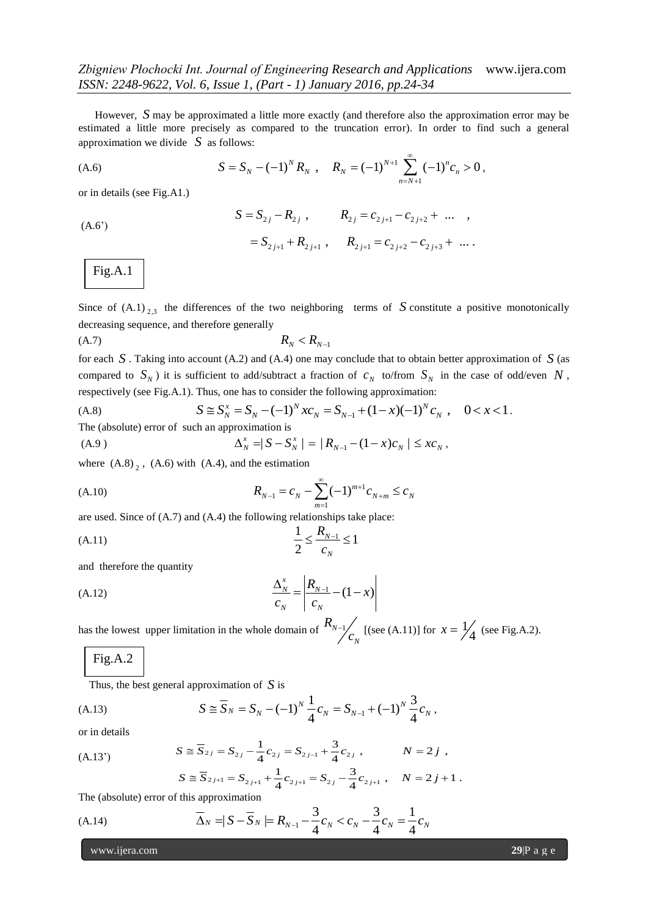However, S may be approximated a little more exactly (and therefore also the approximation error may be estimated a little more precisely as compared to the truncation error). In order to find such a general approximation we divide  $S$  as follows:

approximation we divide *S* as follows:  
\n(A.6) 
$$
S = S_N - (-1)^N R_N, \quad R_N = (-1)^{N+1} \sum_{n=N+1}^{\infty} (-1)^n c_n > 0,
$$

or in details (see Fig.A1.)

or in details (see Fig.A1.)  
\n
$$
S = S_{2j} - R_{2j} , \t R_{2j} = c_{2j+1} - c_{2j+2} + \dots ,
$$
\n
$$
= S_{2j+1} + R_{2j+1} , \t R_{2j+1} = c_{2j+2} - c_{2j+3} + \dots .
$$

Fig.A.1 .

Since of  $(A.1)_{2,3}$  the differences of the two neighboring terms of S constitute a positive monotonically decreasing sequence, and therefore generally

$$
(A.7) \t\t R_N < R_{N-1}
$$

for each  $S$ . Taking into account (A.2) and (A.4) one may conclude that to obtain better approximation of  $S$  (as compared to  $S_N$ ) it is sufficient to add/subtract a fraction of  $c_N$  to/from  $S_N$  in the case of odd/even  $N$ ,<br>respectively (see Fig.A.1). Thus, one has to consider the following approximation:<br>(A.8)  $S \cong S_N^x = S_N - (-1)^N x c_N$ respectively (see Fig.A.1). Thus, one has to consider the following approximation:

(A.8) 
$$
S \cong S_N^x = S_N - (-1)^N x c_N = S_{N-1} + (1-x)(-1)^N c_N, \quad 0 < x < 1.
$$
  
The (absolute) error of such an approximation is  
(A.9) 
$$
\Delta_N^x = |S - S_N^x| = |R_{N-1} - (1-x)c_N| \le x c_N,
$$

(A.9) 
$$
\Delta_N^x = |S - S_N^x| = |R_{N-1} - (1-x)c_N| \leq x c_N,
$$

where  $(A.8)$ <sub>2</sub>,  $(A.6)$  with  $(A.4)$ , and the estimation

(A.10) 
$$
R_{N-1} = c_N - \sum_{m=1}^{\infty} (-1)^{m+1} c_{N+m} \leq c_N
$$

are used. Since of (A.7) and (A.4) the following relationships take place:

(A.11) 
$$
\frac{1}{2} \le \frac{R_{N-1}}{c_N} \le 1
$$

and therefore the quantity

(A.12) 
$$
\frac{\Delta_N^x}{c_N} = \left| \frac{R_{N-1}}{c_N} - (1-x) \right|
$$

has the lowest upper limitation in the whole domain of  $\binom{N_{N-1}}{N_N}$ *N R*  $\frac{1}{c_N}$  [(see (A.11)] for  $x = \frac{1}{\gamma}$  $x = \frac{1}{4}$  (see Fig.A.2).

## Fig.A.2

Thus, the best general approximation of  $S$  is .

Thus, the best general approximation of *S* is  
\n(A.13) 
$$
S \cong \overline{S}_N = S_N - (-1)^N \frac{1}{4} c_N = S_{N-1} + (-1)^N \frac{3}{4} c_N,
$$

or in details

(A.13')

$$
S \cong S_N = S_N - (-1)^n \frac{1}{4} C_N = S_{N-1} + (-1)^n \frac{1}{4} C_N,
$$
  

$$
S \cong \overline{S}_{2j} = S_{2j} - \frac{1}{4} C_{2j} = S_{2j-1} + \frac{3}{4} C_{2j}, \qquad N = 2j,
$$
  

$$
S \cong \overline{S}_{2j+1} = S_{2j+1} + \frac{1}{4} C_{2j+1} = S_{2j} - \frac{3}{4} C_{2j+1}, \qquad N = 2j+1.
$$

$$
S \cong S_{2j} = S_{2j} - \frac{1}{4}c_{2j} = S_{2j-1} + \frac{1}{4}c_{2j} , \qquad N = 2j ,
$$
  
\n
$$
S \cong \overline{S}_{2j+1} = S_{2j+1} + \frac{1}{4}c_{2j+1} = S_{2j} - \frac{3}{4}c_{2j+1} , \qquad N = 2j+1 .
$$
  
\nthis approximation

The (absolute) error of this approximation

The (absolute) error of this approximation  
\n(A.14) 
$$
\overline{\Delta}_N = |S - \overline{S}_N| = R_{N-1} - \frac{3}{4}c_N < c_N - \frac{3}{4}c_N = \frac{1}{4}c_N
$$

www.ijera.com **29**|P a g e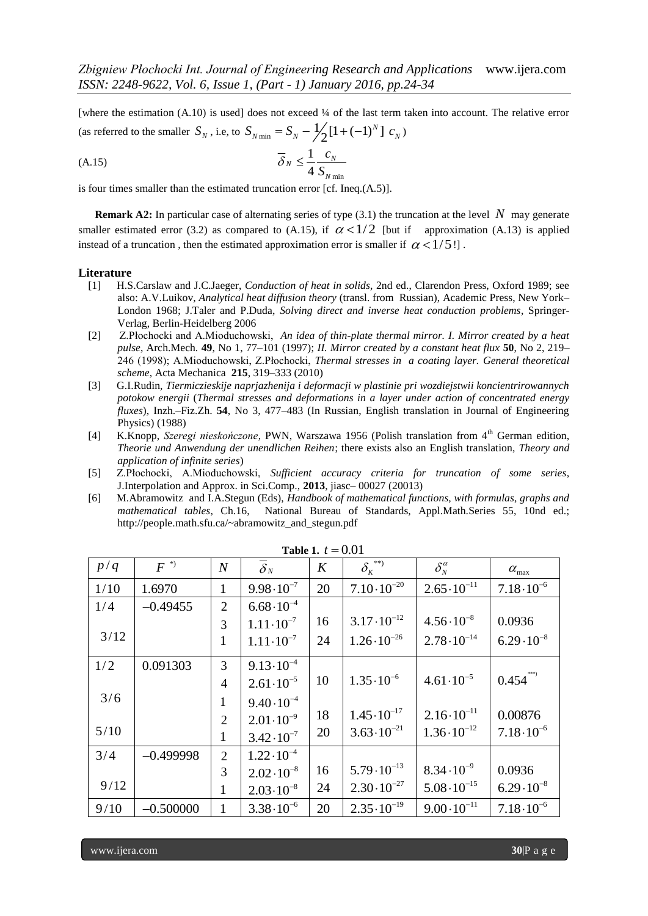[where the estimation (A.10) is used] does not exceed ¼ of the last term taken into account. The relative error (as referred to the smaller  $S_N$ , i.e, to  $S_{N \text{ min}} = S_N - \frac{1}{2} [1 + (-1)^N]$ *N* does not exceed 44 or the last term to<br>  $S_{N \text{ min}} = S_N - \frac{1}{2} [1 + (-1)^N] c_N$ 

$$
\overline{\delta}_N \le \frac{1}{4} \frac{c_N}{S_{N \min}}
$$

is four times smaller than the estimated truncation error [cf. Ineq.(A.5)].

**Remark A2:** In particular case of alternating series of type  $(3.1)$  the truncation at the level N may generate smaller estimated error (3.2) as compared to (A.15), if  $\alpha < 1/2$  [but if approximation (A.13) is applied instead of a truncation, then the estimated approximation error is smaller if  $\alpha < 1/5$ !

#### **Literature**

- [1] H.S.Carslaw and J.C.Jaeger, *Conduction of heat in solids*, 2nd ed., Clarendon Press, Oxford 1989; see also: A.V.Luikov, *Analytical heat diffusion theory* (transl. from Russian), Academic Press, New York– London 1968; J.Taler and P.Duda, *Solving direct and inverse heat conduction problems*, Springer-Verlag, Berlin-Heidelberg 2006
- [2] Z.Płochocki and A.Mioduchowski, *An idea of thin-plate thermal mirror. I. Mirror created by a heat pulse*, Arch.Mech. **49**, No 1, 77–101 (1997); *II. Mirror created by a constant heat flux* **50**, No 2, 219– 246 (1998); A.Mioduchowski, Z.Płochocki, *Thermal stresses in a coating layer. General theoretical scheme*, Acta Mechanica **215**, 319–333 (2010)
- [3] G.I.Rudin, *Tiermiczieskije naprjazhenija i deformacji w plastinie pri wozdiejstwii koncientrirowannych potokow energii* (*Thermal stresses and deformations in a layer under action of concentrated energy fluxes*), Inzh.–Fiz.Zh. **54**, No 3, 477–483 (In Russian, English translation in Journal of Engineering Physics) (1988)
- [4] K.Knopp, *Szeregi nieskończone*, PWN, Warszawa 1956 (Polish translation from 4<sup>th</sup> German edition, *Theorie und Anwendung der unendlichen Reihen*; there exists also an English translation, *Theory and application of infinite series*)
- [5] Z.Płochocki, A.Mioduchowski, *Sufficient accuracy criteria for truncation of some series*, J.Interpolation and Approx. in Sci.Comp., **2013**, jiasc– 00027 (20013)
- [6] M.Abramowitz and I.A.Stegun (Eds), *Handbook of mathematical functions, with formulas, graphs and mathematical tables*, Ch.16, National Bureau of Standards, Appl.Math.Series 55, 10nd ed.; http://people.math.sfu.ca/~abramowitz\_and\_stegun.pdf

| p/q  | $F^{(*)}$   | $\boldsymbol{N}$ | $\overline{\delta}_N$ | K  | $\delta_{\kappa}^{**}$ | $\delta_N^{\alpha}$   | $\alpha_{\text{max}}$ |
|------|-------------|------------------|-----------------------|----|------------------------|-----------------------|-----------------------|
| 1/10 | 1.6970      | $\mathbf{1}$     | $9.98 \cdot 10^{-7}$  | 20 | $7.10 \cdot 10^{-20}$  | $2.65 \cdot 10^{-11}$ | $7.18 \cdot 10^{-6}$  |
| 1/4  | $-0.49455$  | $\overline{2}$   | $6.68 \cdot 10^{-4}$  |    |                        |                       |                       |
|      |             | 3                | $1.11 \cdot 10^{-7}$  | 16 | $3.17 \cdot 10^{-12}$  | $4.56 \cdot 10^{-8}$  | 0.0936                |
| 3/12 |             | 1                | $1.11 \cdot 10^{-7}$  | 24 | $1.26 \cdot 10^{-26}$  | $2.78 \cdot 10^{-14}$ | $6.29 \cdot 10^{-8}$  |
| 1/2  | 0.091303    | $\overline{3}$   | $9.13 \cdot 10^{-4}$  |    |                        |                       |                       |
|      |             | $\overline{4}$   | $2.61 \cdot 10^{-5}$  | 10 | $1.35 \cdot 10^{-6}$   | $4.61 \cdot 10^{-5}$  | $0.454$ ***)          |
| 3/6  |             | $\mathbf{1}$     | $9.40 \cdot 10^{-4}$  |    |                        |                       |                       |
|      |             | $\overline{2}$   | $2.01 \cdot 10^{-9}$  | 18 | $1.45 \cdot 10^{-17}$  | $2.16 \cdot 10^{-11}$ | 0.00876               |
| 5/10 |             | 1                | $3.42 \cdot 10^{-7}$  | 20 | $3.63 \cdot 10^{-21}$  | $1.36 \cdot 10^{-12}$ | $7.18 \cdot 10^{-6}$  |
| 3/4  | $-0.499998$ | $\overline{2}$   | $1.22 \cdot 10^{-4}$  |    |                        |                       |                       |
|      |             | 3                | $2.02 \cdot 10^{-8}$  | 16 | $5.79 \cdot 10^{-13}$  | $8.34 \cdot 10^{-9}$  | 0.0936                |
| 9/12 |             | $\mathbf{1}$     | $2.03 \cdot 10^{-8}$  | 24 | $2.30 \cdot 10^{-27}$  | $5.08 \cdot 10^{-15}$ | $6.29 \cdot 10^{-8}$  |
| 9/10 | $-0.500000$ | 1                | $3.38 \cdot 10^{-6}$  | 20 | $2.35 \cdot 10^{-19}$  | $9.00 \cdot 10^{-11}$ | $7.18 \cdot 10^{-6}$  |

|  | Table 1. $t = 0.01$ |
|--|---------------------|
|--|---------------------|

www.ijera.com **30**|P a g e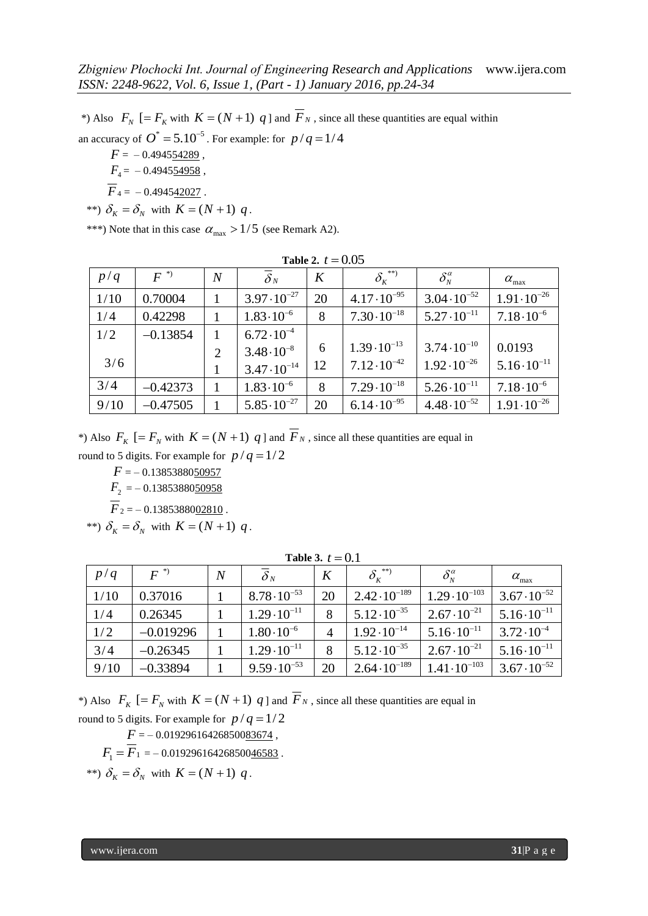\*) Also  $F_N$  [=  $F_K$  with  $K = (N + 1)$  q ] and  $F_N$ , since all these quantities are equal within an accuracy of  $O^* = 5.10^{-5}$ . For example: for  $p/q = 1/4$ 

 $F = -0.494554289$ ,  $F_4$  =  $-0.4945$ <u>54958</u>,  $\overline{F}_4 = -0.494542027$ .

$$
**\Rightarrow \delta_K = \delta_N \text{ with } K = (N+1) \ q.
$$

\*\*\*) Note that in this case  $\alpha_{\text{max}} > 1/5$  (see Remark A2).

| Table 2. $t = 0.05$ |            |                |                       |    |                                                            |                       |                       |
|---------------------|------------|----------------|-----------------------|----|------------------------------------------------------------|-----------------------|-----------------------|
| p/q                 | $F^{\ast}$ | $\overline{N}$ | $\overline{\delta}_N$ | K  | $\delta_{\scriptscriptstyle{K}}^{\scriptscriptstyle{***}}$ | $\delta_N^{\alpha}$   | $\alpha_{\text{max}}$ |
| 1/10                | 0.70004    | 1              | $3.97 \cdot 10^{-27}$ | 20 | $4.17 \cdot 10^{-95}$                                      | $3.04 \cdot 10^{-52}$ | $1.91 \cdot 10^{-26}$ |
| 1/4                 | 0.42298    | 1              | $1.83 \cdot 10^{-6}$  | 8  | $7.30 \cdot 10^{-18}$                                      | $5.27 \cdot 10^{-11}$ | $7.18 \cdot 10^{-6}$  |
| 1/2                 | $-0.13854$ | 1              | $6.72 \cdot 10^{-4}$  |    |                                                            |                       |                       |
|                     |            | $\overline{2}$ | $3.48 \cdot 10^{-8}$  | 6  | $1.39 \cdot 10^{-13}$                                      | $3.74 \cdot 10^{-10}$ | 0.0193                |
| 3/6                 |            | 1              | $3.47 \cdot 10^{-14}$ | 12 | $7.12 \cdot 10^{-42}$                                      | $1.92 \cdot 10^{-26}$ | $5.16 \cdot 10^{-11}$ |
| 3/4                 | $-0.42373$ | 1              | $1.83 \cdot 10^{-6}$  | 8  | $7.29 \cdot 10^{-18}$                                      | $5.26 \cdot 10^{-11}$ | $7.18 \cdot 10^{-6}$  |
| 9/10                | $-0.47505$ | 1              | $5.85 \cdot 10^{-27}$ | 20 | $6.14 \cdot 10^{-95}$                                      | $4.48 \cdot 10^{-52}$ | $1.91 \cdot 10^{-26}$ |

\*) Also  $F_K$  [=  $F_N$  with  $K = (N + 1)$  q ] and  $F_N$ , since all these quantities are equal in

round to 5 digits. For example for  $p/q = 1/2$ *F* = – 0.1385388050957

 $F_2$  = -0.13853880<u>50958</u>

 $\overline{F}_2$  = -0.1385388002810.

\*\*)  $\delta_K = \delta_N$  with  $K = (N+1)$  q.

| p/q  | $F^{\ast}$  | N | $\delta_N$            | K  | $\delta_{\kappa}^{**}$ | $\delta_{\scriptscriptstyle N}^{\scriptscriptstyle\alpha}$ | $\alpha_{\text{max}}$ |
|------|-------------|---|-----------------------|----|------------------------|------------------------------------------------------------|-----------------------|
| 1/10 | 0.37016     |   | $8.78 \cdot 10^{-53}$ | 20 | $2.42 \cdot 10^{-189}$ | $1.29 \cdot 10^{-103}$                                     | $3.67 \cdot 10^{-52}$ |
| 1/4  | 0.26345     |   | $1.29 \cdot 10^{-11}$ | 8  | $5.12 \cdot 10^{-35}$  | $2.67 \cdot 10^{-21}$                                      | $5.16 \cdot 10^{-11}$ |
| 1/2  | $-0.019296$ |   | $1.80 \cdot 10^{-6}$  | 4  | $1.92 \cdot 10^{-14}$  | $5.16 \cdot 10^{-11}$                                      | $3.72 \cdot 10^{-4}$  |
| 3/4  | $-0.26345$  |   | $1.29 \cdot 10^{-11}$ | 8  | $5.12 \cdot 10^{-35}$  | $2.67 \cdot 10^{-21}$                                      | $5.16 \cdot 10^{-11}$ |
| 9/10 | $-0.33894$  |   | $9.59 \cdot 10^{-53}$ | 20 | $2.64 \cdot 10^{-189}$ | $1.41 \cdot 10^{-103}$                                     | $3.67 \cdot 10^{-52}$ |

**Table 3.**  $t = 0.1$ 

\*) Also  $F_K$  [=  $F_N$  with  $K = (N + 1)$  q ] and  $F_N$ , since all these quantities are equal in round to 5 digits. For example for  $p/q = 1/2$ 

 $F = -0.01929616426850083674$ ,

 $F_1 = F_1 = -0.01929616426850046583$ .

\*\*)  $\delta_K = \delta_N$  with  $K = (N+1)$  q.